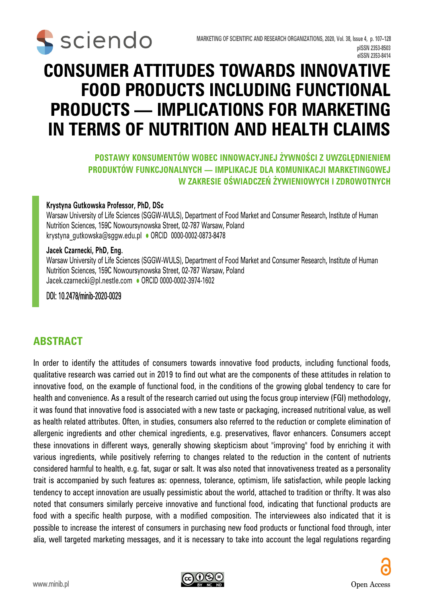

# **CONSUMER ATTITUDES TOWARDS INNOVATIVE FOOD PRODUCTS INCLUDING FUNCTIONAL PRODUCTS — IMPLICATIONS FOR MARKETING IN TERMS OF NUTRITION AND HEALTH CLAIMS**

#### **POSTAWY KONSUMENTÓW WOBEC INNOWACYJNEJ ŻYWNOŚCI Z UWZGLĘDNIENIEM PRODUKTÓW FUNKCJONALNYCH — IMPLIKACJE DLA KOMUNIKACJI MARKETINGOWEJ W ZAKRESIE OŚWIADCZEŃ ŻYWIENIOWYCH I ZDROWOTNYCH**

#### **Krystyna Gutkowska Professor, PhD, DSc**

Warsaw University of Life Sciences (SGGW-WULS), Department of Food Market and Consumer Research, Institute of Human Nutrition Sciences, 159C Nowoursynowska Street, 02-787 Warsaw, Poland krystyna\_gutkowska@sggw.edu.pl · ORCID 0000-0002-0873-8478

#### **Jacek Czarnecki, PhD, Eng.**

Warsaw University of Life Sciences (SGGW-WULS), Department of Food Market and Consumer Research, Institute of Human Nutrition Sciences, 159C Nowoursynowska Street, 02-787 Warsaw, Poland Jacek.czarnecki@pl.nestle.com • ORCID 0000-0002-3974-1602

#### DOI: 10.2478/minib-2020-0029

#### **ABSTRACT**

In order to identify the attitudes of consumers towards innovative food products, including functional foods, qualitative research was carried out in 2019 to find out what are the components of these attitudes in relation to innovative food, on the example of functional food, in the conditions of the growing global tendency to care for health and convenience. As a result of the research carried out using the focus group interview (FGI) methodology, it was found that innovative food is associated with a new taste or packaging, increased nutritional value, as well as health related attributes. Often, in studies, consumers also referred to the reduction or complete elimination of allergenic ingredients and other chemical ingredients, e.g. preservatives, flavor enhancers. Consumers accept these innovations in different ways, generally showing skepticism about "improving" food by enriching it with various ingredients, while positively referring to changes related to the reduction in the content of nutrients considered harmful to health, e.g. fat, sugar or salt. It was also noted that innovativeness treated as a personality trait is accompanied by such features as: openness, tolerance, optimism, life satisfaction, while people lacking tendency to accept innovation are usually pessimistic about the world, attached to tradition or thrifty. It was also noted that consumers similarly perceive innovative and functional food, indicating that functional products are food with a specific health purpose, with a modified composition. The interviewees also indicated that it is possible to increase the interest of consumers in purchasing new food products or functional food through, inter alia, well targeted marketing messages, and it is necessary to take into account the legal regulations regarding

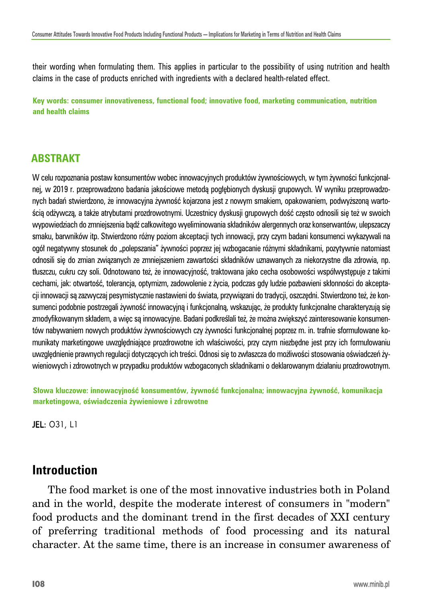their wording when formulating them. This applies in particular to the possibility of using nutrition and health claims in the case of products enriched with ingredients with a declared health-related effect.

**Key words: consumer innovativeness, functional food; innovative food, marketing communication, nutrition and health claims**

#### **ABSTRAKT**

W celu rozpoznania postaw konsumentów wobec innowacyjnych produktów żywnościowych, w tym żywności funkcjonalnej, w 2019 r. przeprowadzono badania jakościowe metodą pogłębionych dyskusji grupowych. W wyniku przeprowadzonych badań stwierdzono, że innowacyjna żywność kojarzona jest z nowym smakiem, opakowaniem, podwyższoną wartością odżywczą, a także atrybutami prozdrowotnymi. Uczestnicy dyskusji grupowych dość często odnosili się też w swoich wypowiedziach do zmniejszenia bądź całkowitego wyeliminowania składników alergennych oraz konserwantów, ulepszaczy smaku, barwników itp. Stwierdzono różny poziom akceptacji tych innowacji, przy czym badani konsumenci wykazywali na ogół negatywny stosunek do "polepszania" żywności poprzez jej wzbogacanie różnymi składnikami, pozytywnie natomiast odnosili się do zmian związanych ze zmniejszeniem zawartości składników uznawanych za niekorzystne dla zdrowia, np. tłuszczu, cukru czy soli. Odnotowano też, że innowacyjność, traktowana jako cecha osobowości współwystępuje z takimi cechami, jak: otwartość, tolerancja, optymizm, zadowolenie z życia, podczas gdy ludzie pozbawieni skłonności do akceptacji innowacji są zazwyczaj pesymistycznie nastawieni do świata, przywiązani do tradycji, oszczędni. Stwierdzono też, że konsumenci podobnie postrzegali żywność innowacyjną i funkcjonalną, wskazując, że produkty funkcjonalne charakteryzują się zmodyfikowanym składem, a więc są innowacyjne. Badani podkreślali też, że można zwiększyć zainteresowanie konsumentów nabywaniem nowych produktów żywnościowych czy żywności funkcjonalnej poprzez m. in. trafnie sformułowane komunikaty marketingowe uwzględniające prozdrowotne ich właściwości, przy czym niezbędne jest przy ich formułowaniu uwzględnienie prawnych regulacji dotyczących ich treści. Odnosi się to zwłaszcza do możliwości stosowania oświadczeń żywieniowych i zdrowotnych w przypadku produktów wzbogaconych składnikami o deklarowanym działaniu prozdrowotnym.

**Słowa kluczowe: innowacyjność konsumentów, żywność funkcjonalna; innowacyjna żywność, komunikacja marketingowa, oświadczenia żywieniowe i zdrowotne**

JEL: O31, L1

#### **Introduction**

The food market is one of the most innovative industries both in Poland and in the world, despite the moderate interest of consumers in "modern" food products and the dominant trend in the first decades of XXI century of preferring traditional methods of food processing and its natural character. At the same time, there is an increase in consumer awareness of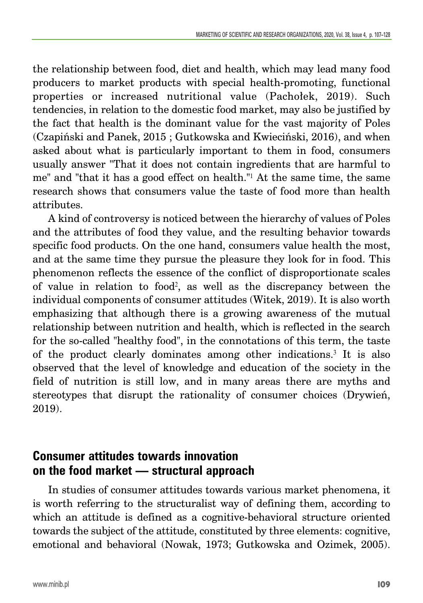the relationship between food, diet and health, which may lead many food producers to market products with special health-promoting, functional properties or increased nutritional value (Pachołek, 2019). Such tendencies, in relation to the domestic food market, may also be justified by the fact that health is the dominant value for the vast majority of Poles (Czapiński and Panek, 2015 ; Gutkowska and Kwieciński, 2016), and when asked about what is particularly important to them in food, consumers usually answer "That it does not contain ingredients that are harmful to me" and "that it has a good effect on health."<sup>1</sup> At the same time, the same research shows that consumers value the taste of food more than health attributes.

A kind of controversy is noticed between the hierarchy of values of Poles and the attributes of food they value, and the resulting behavior towards specific food products. On the one hand, consumers value health the most, and at the same time they pursue the pleasure they look for in food. This phenomenon reflects the essence of the conflict of disproportionate scales of value in relation to food2, as well as the discrepancy between the individual components of consumer attitudes (Witek, 2019). It is also worth emphasizing that although there is a growing awareness of the mutual relationship between nutrition and health, which is reflected in the search for the so-called "healthy food", in the connotations of this term, the taste of the product clearly dominates among other indications.<sup>3</sup> It is also observed that the level of knowledge and education of the society in the field of nutrition is still low, and in many areas there are myths and stereotypes that disrupt the rationality of consumer choices (Drywień, 2019).

### **Consumer attitudes towards innovation on the food market — structural approach**

In studies of consumer attitudes towards various market phenomena, it is worth referring to the structuralist way of defining them, according to which an attitude is defined as a cognitive-behavioral structure oriented towards the subject of the attitude, constituted by three elements: cognitive, emotional and behavioral (Nowak, 1973; Gutkowska and Ozimek, 2005).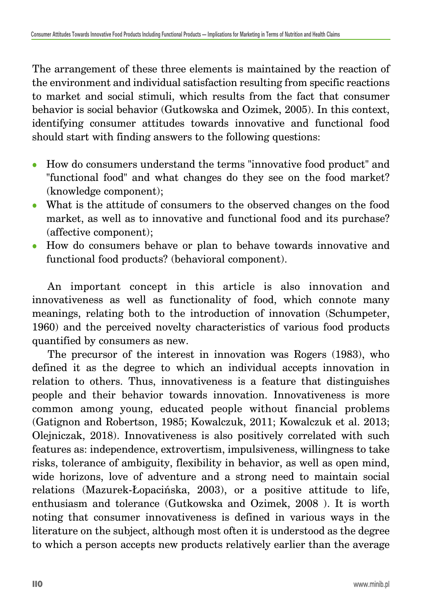The arrangement of these three elements is maintained by the reaction of the environment and individual satisfaction resulting from specific reactions to market and social stimuli, which results from the fact that consumer behavior is social behavior (Gutkowska and Ozimek, 2005). In this context, identifying consumer attitudes towards innovative and functional food should start with finding answers to the following questions:

- How do consumers understand the terms "innovative food product" and "functional food" and what changes do they see on the food market? (knowledge component);
- What is the attitude of consumers to the observed changes on the food market, as well as to innovative and functional food and its purchase? (affective component);
- How do consumers behave or plan to behave towards innovative and functional food products? (behavioral component).

An important concept in this article is also innovation and innovativeness as well as functionality of food, which connote many meanings, relating both to the introduction of innovation (Schumpeter, 1960) and the perceived novelty characteristics of various food products quantified by consumers as new.

The precursor of the interest in innovation was Rogers (1983), who defined it as the degree to which an individual accepts innovation in relation to others. Thus, innovativeness is a feature that distinguishes people and their behavior towards innovation. Innovativeness is more common among young, educated people without financial problems (Gatignon and Robertson, 1985; Kowalczuk, 2011; Kowalczuk et al. 2013; Olejniczak, 2018). Innovativeness is also positively correlated with such features as: independence, extrovertism, impulsiveness, willingness to take risks, tolerance of ambiguity, flexibility in behavior, as well as open mind, wide horizons, love of adventure and a strong need to maintain social relations (Mazurek-Łopacińska, 2003), or a positive attitude to life, enthusiasm and tolerance (Gutkowska and Ozimek, 2008 ). It is worth noting that consumer innovativeness is defined in various ways in the literature on the subject, although most often it is understood as the degree to which a person accepts new products relatively earlier than the average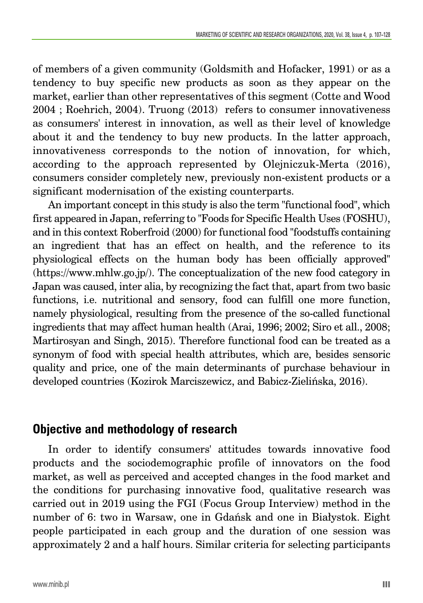of members of a given community (Goldsmith and Hofacker, 1991) or as a tendency to buy specific new products as soon as they appear on the market, earlier than other representatives of this segment (Cotte and Wood 2004 ; Roehrich, 2004). Truong (2013) refers to consumer innovativeness as consumers' interest in innovation, as well as their level of knowledge about it and the tendency to buy new products. In the latter approach, innovativeness corresponds to the notion of innovation, for which, according to the approach represented by Olejniczuk-Merta (2016), consumers consider completely new, previously non-existent products or a significant modernisation of the existing counterparts.

An important concept in this study is also the term "functional food", which first appeared in Japan, referring to "Foods for Specific Health Uses (FOSHU), and in this context Roberfroid (2000) for functional food "foodstuffs containing an ingredient that has an effect on health, and the reference to its physiological effects on the human body has been officially approved" (https://www.mhlw.go.jp/). The conceptualization of the new food category in Japan was caused, inter alia, by recognizing the fact that, apart from two basic functions, i.e. nutritional and sensory, food can fulfill one more function, namely physiological, resulting from the presence of the so-called functional ingredients that may affect human health (Arai, 1996; 2002; Siro et all., 2008; Martirosyan and Singh, 2015). Therefore functional food can be treated as a synonym of food with special health attributes, which are, besides sensoric quality and price, one of the main determinants of purchase behaviour in developed countries (Kozirok Marciszewicz, and Babicz-Zielińska, 2016).

#### **Objective and methodology of research**

In order to identify consumers' attitudes towards innovative food products and the sociodemographic profile of innovators on the food market, as well as perceived and accepted changes in the food market and the conditions for purchasing innovative food, qualitative research was carried out in 2019 using the FGI (Focus Group Interview) method in the number of 6: two in Warsaw, one in Gdańsk and one in Białystok. Eight people participated in each group and the duration of one session was approximately 2 and a half hours. Similar criteria for selecting participants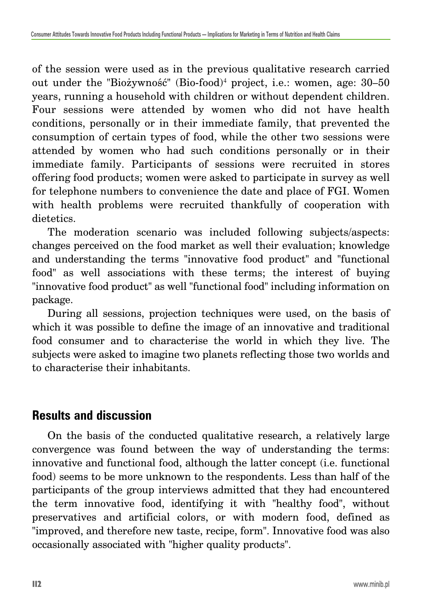of the session were used as in the previous qualitative research carried out under the "Biożywność" (Bio-food)<sup>4</sup> project, i.e.: women, age: 30–50 years, running a household with children or without dependent children. Four sessions were attended by women who did not have health conditions, personally or in their immediate family, that prevented the consumption of certain types of food, while the other two sessions were attended by women who had such conditions personally or in their immediate family. Participants of sessions were recruited in stores offering food products; women were asked to participate in survey as well for telephone numbers to convenience the date and place of FGI. Women with health problems were recruited thankfully of cooperation with dietetics.

The moderation scenario was included following subjects/aspects: changes perceived on the food market as well their evaluation; knowledge and understanding the terms "innovative food product" and "functional food" as well associations with these terms; the interest of buying "innovative food product" as well "functional food" including information on package.

During all sessions, projection techniques were used, on the basis of which it was possible to define the image of an innovative and traditional food consumer and to characterise the world in which they live. The subjects were asked to imagine two planets reflecting those two worlds and to characterise their inhabitants.

### **Results and discussion**

On the basis of the conducted qualitative research, a relatively large convergence was found between the way of understanding the terms: innovative and functional food, although the latter concept (i.e. functional food) seems to be more unknown to the respondents. Less than half of the participants of the group interviews admitted that they had encountered the term innovative food, identifying it with "healthy food", without preservatives and artificial colors, or with modern food, defined as "improved, and therefore new taste, recipe, form". Innovative food was also occasionally associated with "higher quality products".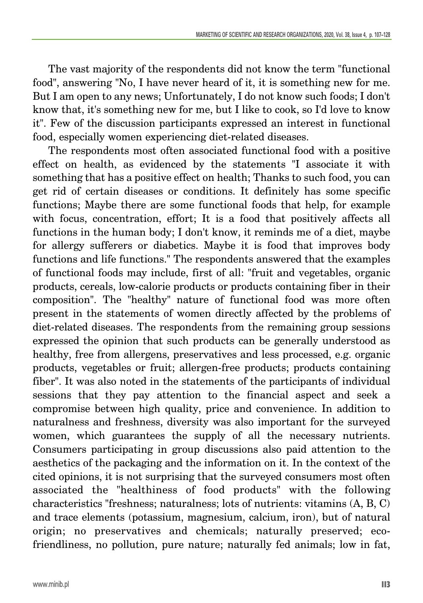The vast majority of the respondents did not know the term "functional food", answering "No, I have never heard of it, it is something new for me. But I am open to any news; Unfortunately, I do not know such foods; I don't know that, it's something new for me, but I like to cook, so I'd love to know it". Few of the discussion participants expressed an interest in functional food, especially women experiencing diet-related diseases.

The respondents most often associated functional food with a positive effect on health, as evidenced by the statements "I associate it with something that has a positive effect on health; Thanks to such food, you can get rid of certain diseases or conditions. It definitely has some specific functions; Maybe there are some functional foods that help, for example with focus, concentration, effort; It is a food that positively affects all functions in the human body; I don't know, it reminds me of a diet, maybe for allergy sufferers or diabetics. Maybe it is food that improves body functions and life functions." The respondents answered that the examples of functional foods may include, first of all: "fruit and vegetables, organic products, cereals, low-calorie products or products containing fiber in their composition". The "healthy" nature of functional food was more often present in the statements of women directly affected by the problems of diet-related diseases. The respondents from the remaining group sessions expressed the opinion that such products can be generally understood as healthy, free from allergens, preservatives and less processed, e.g. organic products, vegetables or fruit; allergen-free products; products containing fiber". It was also noted in the statements of the participants of individual sessions that they pay attention to the financial aspect and seek a compromise between high quality, price and convenience. In addition to naturalness and freshness, diversity was also important for the surveyed women, which guarantees the supply of all the necessary nutrients. Consumers participating in group discussions also paid attention to the aesthetics of the packaging and the information on it. In the context of the cited opinions, it is not surprising that the surveyed consumers most often associated the "healthiness of food products" with the following characteristics "freshness; naturalness; lots of nutrients: vitamins (A, B, C) and trace elements (potassium, magnesium, calcium, iron), but of natural origin; no preservatives and chemicals; naturally preserved; ecofriendliness, no pollution, pure nature; naturally fed animals; low in fat,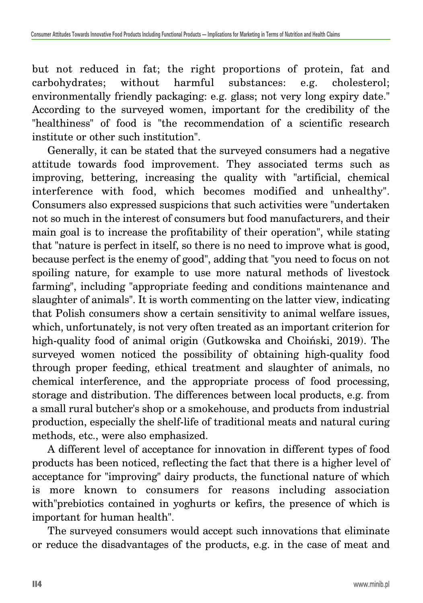but not reduced in fat; the right proportions of protein, fat and carbohydrates; without harmful substances: e.g. cholesterol; environmentally friendly packaging: e.g. glass; not very long expiry date." According to the surveyed women, important for the credibility of the "healthiness" of food is "the recommendation of a scientific research institute or other such institution".

Generally, it can be stated that the surveyed consumers had a negative attitude towards food improvement. They associated terms such as improving, bettering, increasing the quality with "artificial, chemical interference with food, which becomes modified and unhealthy". Consumers also expressed suspicions that such activities were "undertaken not so much in the interest of consumers but food manufacturers, and their main goal is to increase the profitability of their operation", while stating that "nature is perfect in itself, so there is no need to improve what is good, because perfect is the enemy of good", adding that "you need to focus on not spoiling nature, for example to use more natural methods of livestock farming", including "appropriate feeding and conditions maintenance and slaughter of animals". It is worth commenting on the latter view, indicating that Polish consumers show a certain sensitivity to animal welfare issues, which, unfortunately, is not very often treated as an important criterion for high-quality food of animal origin (Gutkowska and Choiński, 2019). The surveyed women noticed the possibility of obtaining high-quality food through proper feeding, ethical treatment and slaughter of animals, no chemical interference, and the appropriate process of food processing, storage and distribution. The differences between local products, e.g. from a small rural butcher's shop or a smokehouse, and products from industrial production, especially the shelf-life of traditional meats and natural curing methods, etc., were also emphasized.

A different level of acceptance for innovation in different types of food products has been noticed, reflecting the fact that there is a higher level of acceptance for "improving" dairy products, the functional nature of which is more known to consumers for reasons including association with"prebiotics contained in yoghurts or kefirs, the presence of which is important for human health".

The surveyed consumers would accept such innovations that eliminate or reduce the disadvantages of the products, e.g. in the case of meat and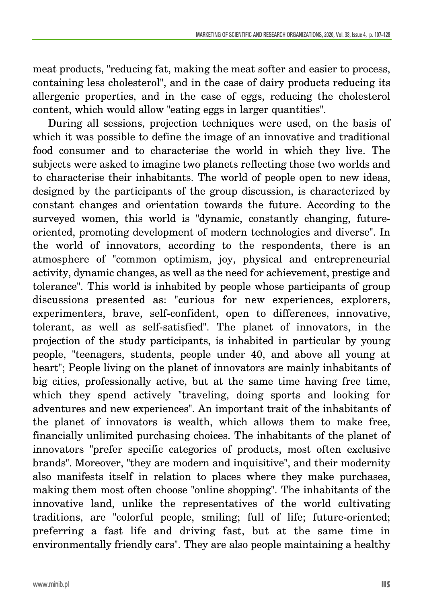meat products, "reducing fat, making the meat softer and easier to process, containing less cholesterol", and in the case of dairy products reducing its allergenic properties, and in the case of eggs, reducing the cholesterol content, which would allow "eating eggs in larger quantities".

During all sessions, projection techniques were used, on the basis of which it was possible to define the image of an innovative and traditional food consumer and to characterise the world in which they live. The subjects were asked to imagine two planets reflecting those two worlds and to characterise their inhabitants. The world of people open to new ideas, designed by the participants of the group discussion, is characterized by constant changes and orientation towards the future. According to the surveyed women, this world is "dynamic, constantly changing, futureoriented, promoting development of modern technologies and diverse". In the world of innovators, according to the respondents, there is an atmosphere of "common optimism, joy, physical and entrepreneurial activity, dynamic changes, as well as the need for achievement, prestige and tolerance". This world is inhabited by people whose participants of group discussions presented as: "curious for new experiences, explorers, experimenters, brave, self-confident, open to differences, innovative, tolerant, as well as self-satisfied". The planet of innovators, in the projection of the study participants, is inhabited in particular by young people, "teenagers, students, people under 40, and above all young at heart"; People living on the planet of innovators are mainly inhabitants of big cities, professionally active, but at the same time having free time, which they spend actively "traveling, doing sports and looking for adventures and new experiences". An important trait of the inhabitants of the planet of innovators is wealth, which allows them to make free, financially unlimited purchasing choices. The inhabitants of the planet of innovators "prefer specific categories of products, most often exclusive brands". Moreover, "they are modern and inquisitive", and their modernity also manifests itself in relation to places where they make purchases, making them most often choose "online shopping". The inhabitants of the innovative land, unlike the representatives of the world cultivating traditions, are "colorful people, smiling; full of life; future-oriented; preferring a fast life and driving fast, but at the same time in environmentally friendly cars". They are also people maintaining a healthy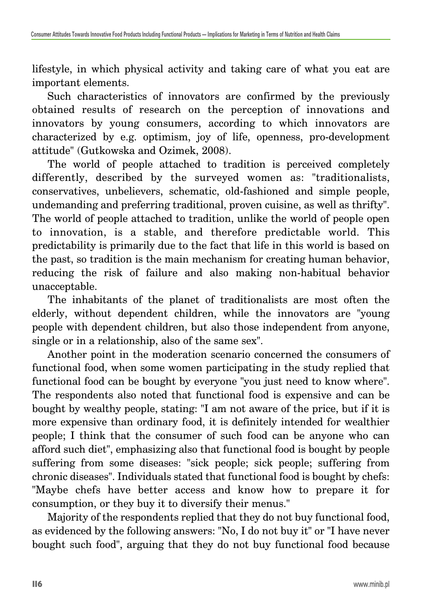lifestyle, in which physical activity and taking care of what you eat are important elements.

Such characteristics of innovators are confirmed by the previously obtained results of research on the perception of innovations and innovators by young consumers, according to which innovators are characterized by e.g. optimism, joy of life, openness, pro-development attitude" (Gutkowska and Ozimek, 2008).

The world of people attached to tradition is perceived completely differently, described by the surveyed women as: "traditionalists, conservatives, unbelievers, schematic, old-fashioned and simple people, undemanding and preferring traditional, proven cuisine, as well as thrifty". The world of people attached to tradition, unlike the world of people open to innovation, is a stable, and therefore predictable world. This predictability is primarily due to the fact that life in this world is based on the past, so tradition is the main mechanism for creating human behavior, reducing the risk of failure and also making non-habitual behavior unacceptable.

The inhabitants of the planet of traditionalists are most often the elderly, without dependent children, while the innovators are "young people with dependent children, but also those independent from anyone, single or in a relationship, also of the same sex".

Another point in the moderation scenario concerned the consumers of functional food, when some women participating in the study replied that functional food can be bought by everyone "you just need to know where". The respondents also noted that functional food is expensive and can be bought by wealthy people, stating: "I am not aware of the price, but if it is more expensive than ordinary food, it is definitely intended for wealthier people; I think that the consumer of such food can be anyone who can afford such diet", emphasizing also that functional food is bought by people suffering from some diseases: "sick people; sick people; suffering from chronic diseases". Individuals stated that functional food is bought by chefs: "Maybe chefs have better access and know how to prepare it for consumption, or they buy it to diversify their menus."

Majority of the respondents replied that they do not buy functional food, as evidenced by the following answers: "No, I do not buy it" or "I have never bought such food", arguing that they do not buy functional food because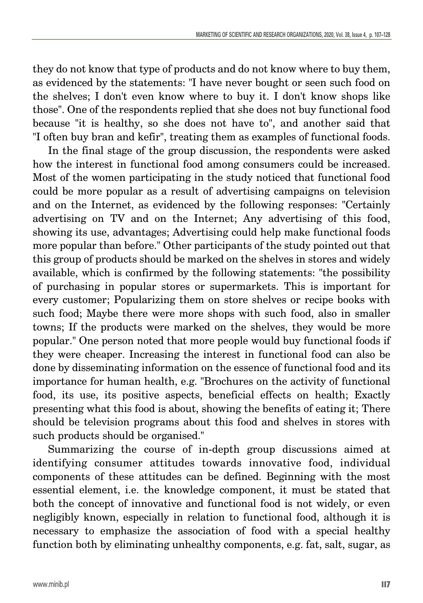they do not know that type of products and do not know where to buy them, as evidenced by the statements: "I have never bought or seen such food on the shelves; I don't even know where to buy it. I don't know shops like those". One of the respondents replied that she does not buy functional food because "it is healthy, so she does not have to", and another said that "I often buy bran and kefir", treating them as examples of functional foods.

In the final stage of the group discussion, the respondents were asked how the interest in functional food among consumers could be increased. Most of the women participating in the study noticed that functional food could be more popular as a result of advertising campaigns on television and on the Internet, as evidenced by the following responses: "Certainly advertising on TV and on the Internet; Any advertising of this food, showing its use, advantages; Advertising could help make functional foods more popular than before." Other participants of the study pointed out that this group of products should be marked on the shelves in stores and widely available, which is confirmed by the following statements: "the possibility of purchasing in popular stores or supermarkets. This is important for every customer; Popularizing them on store shelves or recipe books with such food; Maybe there were more shops with such food, also in smaller towns; If the products were marked on the shelves, they would be more popular." One person noted that more people would buy functional foods if they were cheaper. Increasing the interest in functional food can also be done by disseminating information on the essence of functional food and its importance for human health, e.g. "Brochures on the activity of functional food, its use, its positive aspects, beneficial effects on health; Exactly presenting what this food is about, showing the benefits of eating it; There should be television programs about this food and shelves in stores with such products should be organised."

Summarizing the course of in-depth group discussions aimed at identifying consumer attitudes towards innovative food, individual components of these attitudes can be defined. Beginning with the most essential element, i.e. the knowledge component, it must be stated that both the concept of innovative and functional food is not widely, or even negligibly known, especially in relation to functional food, although it is necessary to emphasize the association of food with a special healthy function both by eliminating unhealthy components, e.g. fat, salt, sugar, as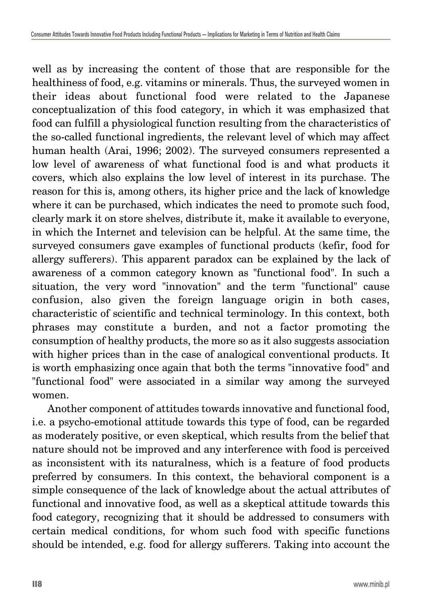well as by increasing the content of those that are responsible for the healthiness of food, e.g. vitamins or minerals. Thus, the surveyed women in their ideas about functional food were related to the Japanese conceptualization of this food category, in which it was emphasized that food can fulfill a physiological function resulting from the characteristics of the so-called functional ingredients, the relevant level of which may affect human health (Arai, 1996; 2002). The surveyed consumers represented a low level of awareness of what functional food is and what products it covers, which also explains the low level of interest in its purchase. The reason for this is, among others, its higher price and the lack of knowledge where it can be purchased, which indicates the need to promote such food, clearly mark it on store shelves, distribute it, make it available to everyone, in which the Internet and television can be helpful. At the same time, the surveyed consumers gave examples of functional products (kefir, food for allergy sufferers). This apparent paradox can be explained by the lack of awareness of a common category known as "functional food". In such a situation, the very word "innovation" and the term "functional" cause confusion, also given the foreign language origin in both cases, characteristic of scientific and technical terminology. In this context, both phrases may constitute a burden, and not a factor promoting the consumption of healthy products, the more so as it also suggests association with higher prices than in the case of analogical conventional products. It is worth emphasizing once again that both the terms "innovative food" and "functional food" were associated in a similar way among the surveyed women.

Another component of attitudes towards innovative and functional food, i.e. a psycho-emotional attitude towards this type of food, can be regarded as moderately positive, or even skeptical, which results from the belief that nature should not be improved and any interference with food is perceived as inconsistent with its naturalness, which is a feature of food products preferred by consumers. In this context, the behavioral component is a simple consequence of the lack of knowledge about the actual attributes of functional and innovative food, as well as a skeptical attitude towards this food category, recognizing that it should be addressed to consumers with certain medical conditions, for whom such food with specific functions should be intended, e.g. food for allergy sufferers. Taking into account the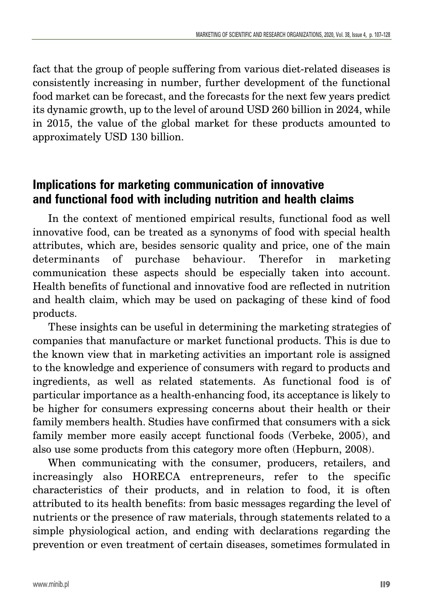fact that the group of people suffering from various diet-related diseases is consistently increasing in number, further development of the functional food market can be forecast, and the forecasts for the next few years predict its dynamic growth, up to the level of around USD 260 billion in 2024, while in 2015, the value of the global market for these products amounted to approximately USD 130 billion.

## **Implications for marketing communication of innovative and functional food with including nutrition and health claims**

In the context of mentioned empirical results, functional food as well innovative food, can be treated as a synonyms of food with special health attributes, which are, besides sensoric quality and price, one of the main determinants of purchase behaviour. Therefor in marketing communication these aspects should be especially taken into account. Health benefits of functional and innovative food are reflected in nutrition and health claim, which may be used on packaging of these kind of food products.

These insights can be useful in determining the marketing strategies of companies that manufacture or market functional products. This is due to the known view that in marketing activities an important role is assigned to the knowledge and experience of consumers with regard to products and ingredients, as well as related statements. As functional food is of particular importance as a health-enhancing food, its acceptance is likely to be higher for consumers expressing concerns about their health or their family members health. Studies have confirmed that consumers with a sick family member more easily accept functional foods (Verbeke, 2005), and also use some products from this category more often (Hepburn, 2008).

When communicating with the consumer, producers, retailers, and increasingly also HORECA entrepreneurs, refer to the specific characteristics of their products, and in relation to food, it is often attributed to its health benefits: from basic messages regarding the level of nutrients or the presence of raw materials, through statements related to a simple physiological action, and ending with declarations regarding the prevention or even treatment of certain diseases, sometimes formulated in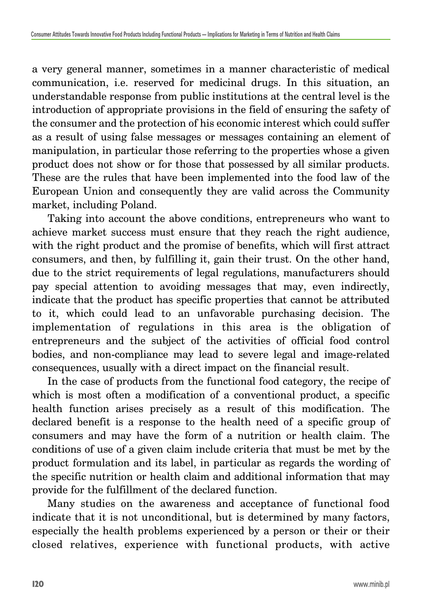a very general manner, sometimes in a manner characteristic of medical communication, i.e. reserved for medicinal drugs. In this situation, an understandable response from public institutions at the central level is the introduction of appropriate provisions in the field of ensuring the safety of the consumer and the protection of his economic interest which could suffer as a result of using false messages or messages containing an element of manipulation, in particular those referring to the properties whose a given product does not show or for those that possessed by all similar products. These are the rules that have been implemented into the food law of the European Union and consequently they are valid across the Community market, including Poland.

Taking into account the above conditions, entrepreneurs who want to achieve market success must ensure that they reach the right audience, with the right product and the promise of benefits, which will first attract consumers, and then, by fulfilling it, gain their trust. On the other hand, due to the strict requirements of legal regulations, manufacturers should pay special attention to avoiding messages that may, even indirectly, indicate that the product has specific properties that cannot be attributed to it, which could lead to an unfavorable purchasing decision. The implementation of regulations in this area is the obligation of entrepreneurs and the subject of the activities of official food control bodies, and non-compliance may lead to severe legal and image-related consequences, usually with a direct impact on the financial result.

In the case of products from the functional food category, the recipe of which is most often a modification of a conventional product, a specific health function arises precisely as a result of this modification. The declared benefit is a response to the health need of a specific group of consumers and may have the form of a nutrition or health claim. The conditions of use of a given claim include criteria that must be met by the product formulation and its label, in particular as regards the wording of the specific nutrition or health claim and additional information that may provide for the fulfillment of the declared function.

Many studies on the awareness and acceptance of functional food indicate that it is not unconditional, but is determined by many factors, especially the health problems experienced by a person or their or their closed relatives, experience with functional products, with active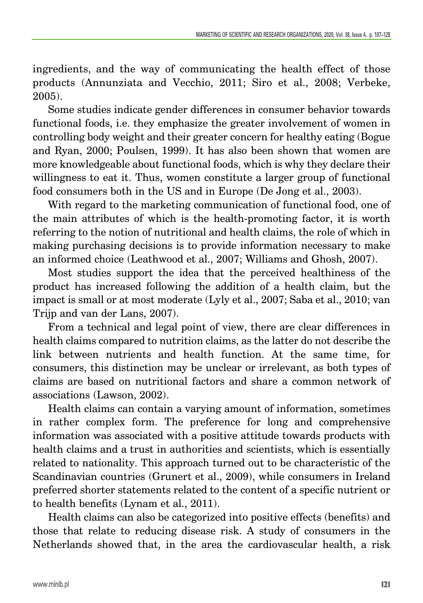ingredients, and the way of communicating the health effect of those products (Annunziata and Vecchio, 2011; Siro et al., 2008; Verbeke, 2005).

Some studies indicate gender differences in consumer behavior towards functional foods, i.e. they emphasize the greater involvement of women in controlling body weight and their greater concern for healthy eating (Bogue and Ryan, 2000; Poulsen, 1999). It has also been shown that women are more knowledgeable about functional foods, which is why they declare their willingness to eat it. Thus, women constitute a larger group of functional food consumers both in the US and in Europe (De Jong et al., 2003).

With regard to the marketing communication of functional food, one of the main attributes of which is the health-promoting factor, it is worth referring to the notion of nutritional and health claims, the role of which in making purchasing decisions is to provide information necessary to make an informed choice (Leathwood et al., 2007; Williams and Ghosh, 2007).

Most studies support the idea that the perceived healthiness of the product has increased following the addition of a health claim, but the impact is small or at most moderate (Lyly et al., 2007; Saba et al., 2010; van Trijp and van der Lans, 2007).

From a technical and legal point of view, there are clear differences in health claims compared to nutrition claims, as the latter do not describe the link between nutrients and health function. At the same time, for consumers, this distinction may be unclear or irrelevant, as both types of claims are based on nutritional factors and share a common network of associations (Lawson, 2002).

Health claims can contain a varying amount of information, sometimes in rather complex form. The preference for long and comprehensive information was associated with a positive attitude towards products with health claims and a trust in authorities and scientists, which is essentially related to nationality. This approach turned out to be characteristic of the Scandinavian countries (Grunert et al., 2009), while consumers in Ireland preferred shorter statements related to the content of a specific nutrient or to health benefits (Lynam et al., 2011).

Health claims can also be categorized into positive effects (benefits) and those that relate to reducing disease risk. A study of consumers in the Netherlands showed that, in the area the cardiovascular health, a risk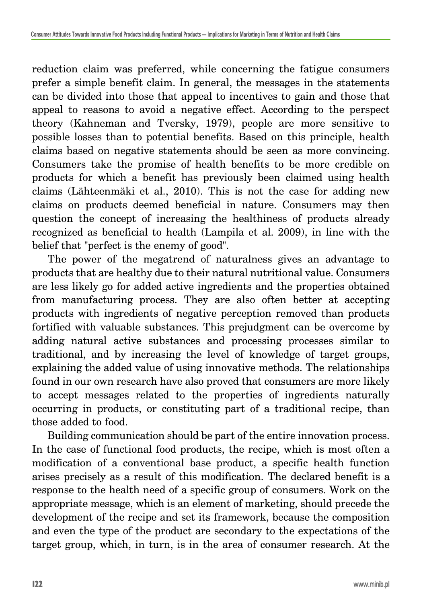reduction claim was preferred, while concerning the fatigue consumers prefer a simple benefit claim. In general, the messages in the statements can be divided into those that appeal to incentives to gain and those that appeal to reasons to avoid a negative effect. According to the perspect theory (Kahneman and Tversky, 1979), people are more sensitive to possible losses than to potential benefits. Based on this principle, health claims based on negative statements should be seen as more convincing. Consumers take the promise of health benefits to be more credible on products for which a benefit has previously been claimed using health claims (Lähteenmäki et al., 2010). This is not the case for adding new claims on products deemed beneficial in nature. Consumers may then question the concept of increasing the healthiness of products already recognized as beneficial to health (Lampila et al. 2009), in line with the belief that "perfect is the enemy of good".

The power of the megatrend of naturalness gives an advantage to products that are healthy due to their natural nutritional value. Consumers are less likely go for added active ingredients and the properties obtained from manufacturing process. They are also often better at accepting products with ingredients of negative perception removed than products fortified with valuable substances. This prejudgment can be overcome by adding natural active substances and processing processes similar to traditional, and by increasing the level of knowledge of target groups, explaining the added value of using innovative methods. The relationships found in our own research have also proved that consumers are more likely to accept messages related to the properties of ingredients naturally occurring in products, or constituting part of a traditional recipe, than those added to food.

Building communication should be part of the entire innovation process. In the case of functional food products, the recipe, which is most often a modification of a conventional base product, a specific health function arises precisely as a result of this modification. The declared benefit is a response to the health need of a specific group of consumers. Work on the appropriate message, which is an element of marketing, should precede the development of the recipe and set its framework, because the composition and even the type of the product are secondary to the expectations of the target group, which, in turn, is in the area of consumer research. At the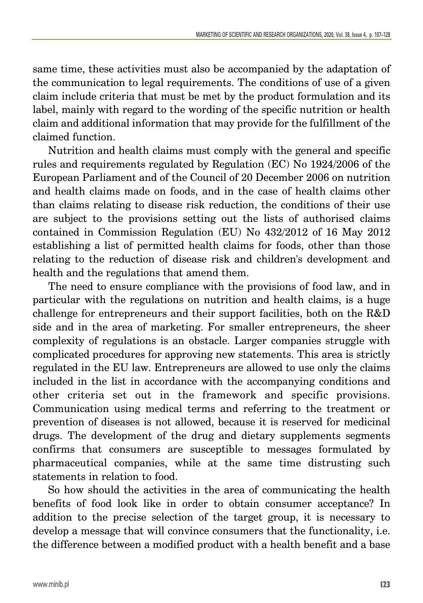same time, these activities must also be accompanied by the adaptation of the communication to legal requirements. The conditions of use of a given claim include criteria that must be met by the product formulation and its label, mainly with regard to the wording of the specific nutrition or health claim and additional information that may provide for the fulfillment of the claimed function.

Nutrition and health claims must comply with the general and specific rules and requirements regulated by Regulation (EC) No 1924/2006 of the European Parliament and of the Council of 20 December 2006 on nutrition and health claims made on foods, and in the case of health claims other than claims relating to disease risk reduction, the conditions of their use are subject to the provisions setting out the lists of authorised claims contained in Commission Regulation (EU) No 432/2012 of 16 May 2012 establishing a list of permitted health claims for foods, other than those relating to the reduction of disease risk and children's development and health and the regulations that amend them.

The need to ensure compliance with the provisions of food law, and in particular with the regulations on nutrition and health claims, is a huge challenge for entrepreneurs and their support facilities, both on the R&D side and in the area of marketing. For smaller entrepreneurs, the sheer complexity of regulations is an obstacle. Larger companies struggle with complicated procedures for approving new statements. This area is strictly regulated in the EU law. Entrepreneurs are allowed to use only the claims included in the list in accordance with the accompanying conditions and other criteria set out in the framework and specific provisions. Communication using medical terms and referring to the treatment or prevention of diseases is not allowed, because it is reserved for medicinal drugs. The development of the drug and dietary supplements segments confirms that consumers are susceptible to messages formulated by pharmaceutical companies, while at the same time distrusting such statements in relation to food.

So how should the activities in the area of communicating the health benefits of food look like in order to obtain consumer acceptance? In addition to the precise selection of the target group, it is necessary to develop a message that will convince consumers that the functionality, i.e. the difference between a modified product with a health benefit and a base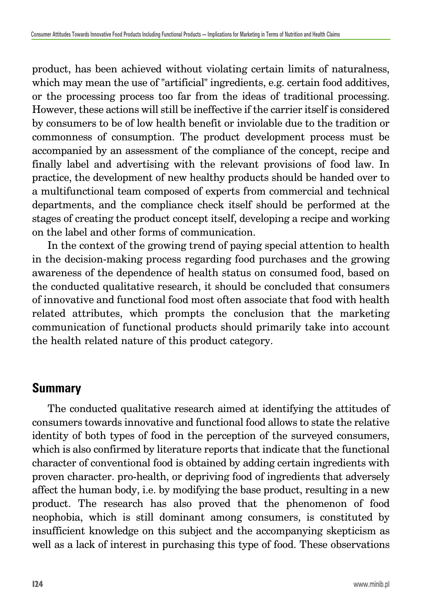product, has been achieved without violating certain limits of naturalness, which may mean the use of "artificial" ingredients, e.g. certain food additives, or the processing process too far from the ideas of traditional processing. However, these actions will still be ineffective if the carrier itself is considered by consumers to be of low health benefit or inviolable due to the tradition or commonness of consumption. The product development process must be accompanied by an assessment of the compliance of the concept, recipe and finally label and advertising with the relevant provisions of food law. In practice, the development of new healthy products should be handed over to a multifunctional team composed of experts from commercial and technical departments, and the compliance check itself should be performed at the stages of creating the product concept itself, developing a recipe and working on the label and other forms of communication.

In the context of the growing trend of paying special attention to health in the decision-making process regarding food purchases and the growing awareness of the dependence of health status on consumed food, based on the conducted qualitative research, it should be concluded that consumers of innovative and functional food most often associate that food with health related attributes, which prompts the conclusion that the marketing communication of functional products should primarily take into account the health related nature of this product category.

# **Summary**

The conducted qualitative research aimed at identifying the attitudes of consumers towards innovative and functional food allows to state the relative identity of both types of food in the perception of the surveyed consumers, which is also confirmed by literature reports that indicate that the functional character of conventional food is obtained by adding certain ingredients with proven character. pro-health, or depriving food of ingredients that adversely affect the human body, i.e. by modifying the base product, resulting in a new product. The research has also proved that the phenomenon of food neophobia, which is still dominant among consumers, is constituted by insufficient knowledge on this subject and the accompanying skepticism as well as a lack of interest in purchasing this type of food. These observations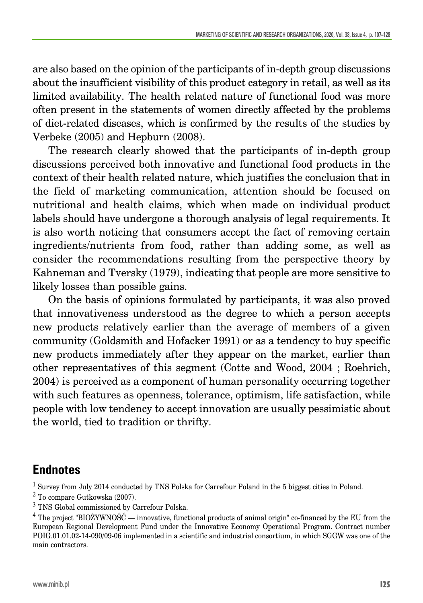are also based on the opinion of the participants of in-depth group discussions about the insufficient visibility of this product category in retail, as well as its limited availability. The health related nature of functional food was more often present in the statements of women directly affected by the problems of diet-related diseases, which is confirmed by the results of the studies by Verbeke (2005) and Hepburn (2008).

The research clearly showed that the participants of in-depth group discussions perceived both innovative and functional food products in the context of their health related nature, which justifies the conclusion that in the field of marketing communication, attention should be focused on nutritional and health claims, which when made on individual product labels should have undergone a thorough analysis of legal requirements. It is also worth noticing that consumers accept the fact of removing certain ingredients/nutrients from food, rather than adding some, as well as consider the recommendations resulting from the perspective theory by Kahneman and Tversky (1979), indicating that people are more sensitive to likely losses than possible gains.

On the basis of opinions formulated by participants, it was also proved that innovativeness understood as the degree to which a person accepts new products relatively earlier than the average of members of a given community (Goldsmith and Hofacker 1991) or as a tendency to buy specific new products immediately after they appear on the market, earlier than other representatives of this segment (Cotte and Wood, 2004 ; Roehrich, 2004) is perceived as a component of human personality occurring together with such features as openness, tolerance, optimism, life satisfaction, while people with low tendency to accept innovation are usually pessimistic about the world, tied to tradition or thrifty.

### **Endnotes**

<sup>1</sup> Survey from July 2014 conducted by TNS Polska for Carrefour Poland in the 5 biggest cities in Poland.

<sup>2</sup> To compare Gutkowska (2007).

<sup>3</sup> TNS Global commissioned by Carrefour Polska.

 $4$  The project "BIOŻYWNOŚĆ — innovative, functional products of animal origin" co-financed by the EU from the European Regional Development Fund under the Innovative Economy Operational Program. Contract number POIG.01.01.02-14-090/09-06 implemented in a scientific and industrial consortium, in which SGGW was one of the main contractors.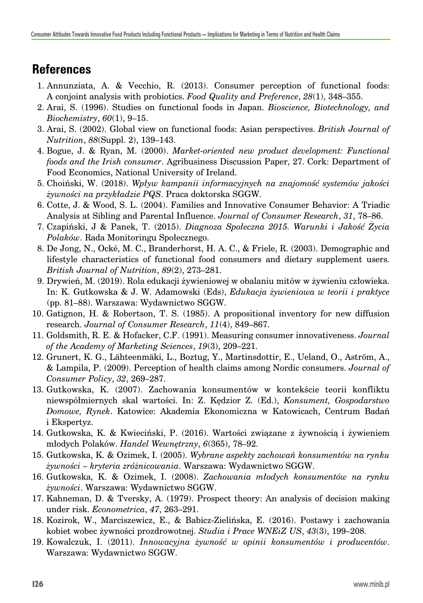# **References**

- 1. Annunziata, A. & Vecchio, R. (2013). Consumer perception of functional foods: A conjoint analysis with probiotics. *Food Quality and Preference*, *28*(1), 348–355.
- 2. Arai, S. (1996). Studies on functional foods in Japan. *Bioscience, Biotechnology, and Biochemistry*, *60*(1), 9–15.
- 3. Arai, S. (2002). Global view on functional foods: Asian perspectives. *British Journal of Nutrition*, *88*(Suppl. 2), 139–143.
- 4. Bogue, J. & Ryan, M. (2000). *Market-oriented new product development: Functional foods and the Irish consumer*. Agribusiness Discussion Paper, 27. Cork: Department of Food Economics, National University of Ireland.
- 5. Choiński, W. (2018). *Wpływ kampanii informacyjnych na znajomość systemów jakości żywności na przykładzie PQS*. Praca doktorska SGGW.
- 6. Cotte, J. & Wood, S. L. (2004). Families and Innovative Consumer Behavior: A Triadic Analysis at Sibling and Parental Influence. *Journal of Consumer Research*, *31*, 78–86.
- 7. Czapiński, J & Panek, T. (2015). *Diagnoza Społeczna 2015. Warunki i Jakość Życia Polaków*. Rada Monitoringu Społecznego.
- 8. De Jong, N., Ocké, M. C., Branderhorst, H. A. C., & Friele, R. (2003). Demographic and lifestyle characteristics of functional food consumers and dietary supplement users. *British Journal of Nutrition*, *89*(2), 273–281.
- 9. Drywień, M. (2019). Rola edukacji żywieniowej w obalaniu mitów w żywieniu człowieka. In: K. Gutkowska & J. W. Adamowski (Eds), *Edukacja żywieniowa w teorii i praktyce* (pp. 81–88). Warszawa: Wydawnictwo SGGW.
- 10. Gatignon, H. & Robertson, T. S. (1985). A propositional inventory for new diffusion research. *Journal of Consumer Research*, *11*(4), 849–867.
- 11. Goldsmith, R. E. & Hofacker, C.F. (1991). Measuring consumer innovativeness. *Journal of the Academy of Marketing Sciences*, *19*(3), 209–221.
- 12. Grunert, K. G., Lähteenmäki, L., Boztug, Y., Martinsdottir, E., Ueland, O., Aström, A., & Lampila, P. (2009). Perception of health claims among Nordic consumers. *Journal of Consumer Policy*, *32*, 269–287.
- 13. Gutkowska, K. (2007). Zachowania konsumentów w kontekście teorii konfliktu niewspółmiernych skal wartości. In: Z. Kędzior Z. (Ed.), *Konsument, Gospodarstwo Domowe, Rynek*. Katowice: Akademia Ekonomiczna w Katowicach, Centrum Badań i Ekspertyz.
- 14. Gutkowska, K. & Kwieciński, P. (2016). Wartości związane z żywnością i żywieniem młodych Polaków. *Handel Wewnętrzny*, *6*(365), 78–92.
- 15. Gutkowska, K. & Ozimek, I. (2005). *Wybrane aspekty zachowań konsumentów na rynku żywności – kryteria zróżnicowania*. Warszawa: Wydawnictwo SGGW.
- 16. Gutkowska, K. & Ozimek, I. (2008). *Zachowania młodych konsumentów na rynku żywności*. Warszawa: Wydawnictwo SGGW.
- 17. Kahneman, D. & Tversky, A. (1979). Prospect theory: An analysis of decision making under risk. *Econometrica*, *47*, 263–291.
- 18. Kozirok, W., Marciszewicz, E., & Babicz-Zielińska, E. (2016). Postawy i zachowania kobiet wobec żywności prozdrowotnej. *Studia i Prace WNEiZ US*, *43*(3), 199–208.
- 19. Kowalczuk, I. (2011). *Innowacyjna żywność w opinii konsumentów i producentów*. Warszawa: Wydawnictwo SGGW.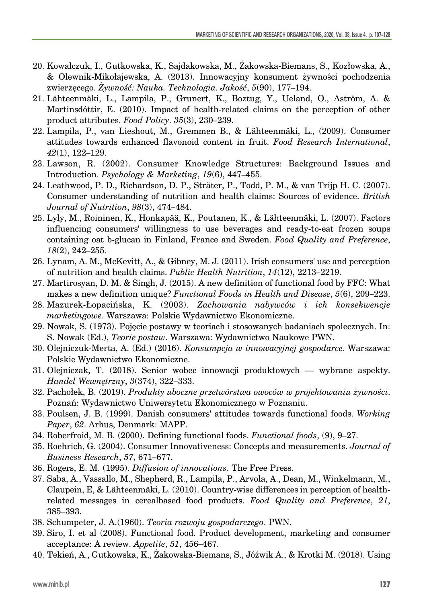- 20. Kowalczuk, I., Gutkowska, K., Sajdakowska, M., Żakowska-Biemans, S., Kozłowska, A., & Olewnik-Mikołajewska, A. (2013). Innowacyjny konsument żywności pochodzenia zwierzęcego. *Żywność: Nauka. Technologia. Jakość*, *5*(90), 177–194.
- 21. Lähteenmäki, L., Lampila, P., Grunert, K., Boztug, Y., Ueland, O., Aström, A. & Martinsdóttir, E. (2010). Impact of health-related claims on the perception of other product attributes. *Food Policy*. *35*(3), 230–239.
- 22. Lampila, P., van Lieshout, M., Gremmen B., & Lähteenmäki, L., (2009). Consumer attitudes towards enhanced flavonoid content in fruit. *Food Research International*, *42*(1), 122–129.
- 23. Lawson, R. (2002). Consumer Knowledge Structures: Background Issues and Introduction. *Psychology & Marketing*, *19*(6), 447–455.
- 24. Leathwood, P. D., Richardson, D. P., Sträter, P., Todd, P. M., & van Trijp H. C. (2007). Consumer understanding of nutrition and health claims: Sources of evidence. *British Journal of Nutrition*, *98*(3), 474–484.
- 25. Lyly, M., Roininen, K., Honkapää, K., Poutanen, K., & Lähteenmäki, L. (2007). Factors influencing consumers' willingness to use beverages and ready-to-eat frozen soups containing oat b-glucan in Finland, France and Sweden. *Food Quality and Preference*, *18*(2), 242–255.
- 26. Lynam, A. M., McKevitt, A., & Gibney, M. J. (2011). Irish consumers' use and perception of nutrition and health claims. *Public Health Nutrition*, *14*(12), 2213–2219.
- 27. Martirosyan, D. M. & Singh, J. (2015). A new definition of functional food by FFC: What makes a new definition unique? *Functional Foods in Health and Disease*, *5*(6), 209–223.
- 28. Mazurek-Łopacińska, K. (2003). *Zachowania nabywców i ich konsekwencje marketingowe*. Warszawa: Polskie Wydawnictwo Ekonomiczne.
- 29. Nowak, S. (1973). Pojęcie postawy w teoriach i stosowanych badaniach społecznych. In: S. Nowak (Ed.), *Teorie postaw*. Warszawa: Wydawnictwo Naukowe PWN.
- 30. Olejniczuk-Merta, A. (Ed.) (2016). *Konsumpcja w innowacyjnej gospodarce*. Warszawa: Polskie Wydawnictwo Ekonomiczne.
- 31. Olejniczak, T. (2018). Senior wobec innowacji produktowych wybrane aspekty. *Handel Wewnętrzny*, *3*(374), 322–333.
- 32. Pachołek, B. (2019). *Produkty uboczne przetwórstwa owoców w projektowaniu żywności*. Poznań: Wydawnictwo Uniwersytetu Ekonomicznego w Poznaniu.
- 33. Poulsen, J. B. (1999). Danish consumers' attitudes towards functional foods. *Working Paper*, *62*. Arhus, Denmark: MAPP.
- 34. Roberfroid, M. B. (2000). Defining functional foods. *Functional foods*, (9), 9–27.
- 35. Roehrich, G. (2004). Consumer Innovativeness: Concepts and measurements. *Journal of Business Research*, *57*, 671–677.
- 36. Rogers, E. M. (1995). *Diffusion of innovations*. The Free Press.
- 37. Saba, A., Vassallo, M., Shepherd, R., Lampila, P., Arvola, A., Dean, M., Winkelmann, M., Claupein, E, & Lähteenmäki, L. (2010). Country-wise differences in perception of healthrelated messages in cerealbased food products. *Food Quality and Preference*, *21*, 385–393.
- 38. Schumpeter, J. A.(1960). *Teoria rozwoju gospodarczego*. PWN.
- 39. Siro, I. et al (2008). Functional food. Product development, marketing and consumer acceptance: A review. *Appetite*, *51*, 456–467.
- 40. Tekień, A., Gutkowska, K., Żakowska-Biemans, S., Jóźwik A., & Krotki M. (2018). Using